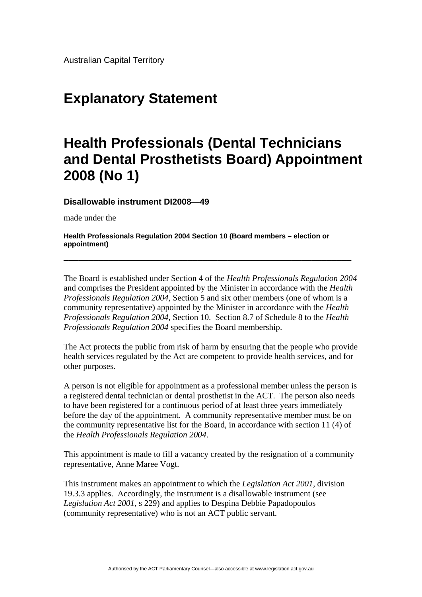Australian Capital Territory

## **Explanatory Statement**

## **Health Professionals (Dental Technicians and Dental Prosthetists Board) Appointment 2008 (No 1)**

**Disallowable instrument DI2008—49**

made under the

**Health Professionals Regulation 2004 Section 10 (Board members – election or appointment)**

The Board is established under Section 4 of the *Health Professionals Regulation 2004*  and comprises the President appointed by the Minister in accordance with the *Health Professionals Regulation 2004,* Section 5 and six other members (one of whom is a community representative) appointed by the Minister in accordance with the *Health Professionals Regulation 2004,* Section 10. Section 8.7 of Schedule 8 to the *Health Professionals Regulation 2004* specifies the Board membership.

**\_\_\_\_\_\_\_\_\_\_\_\_\_\_\_\_\_\_\_\_\_\_\_\_\_\_\_\_\_\_\_\_\_\_\_\_\_\_\_\_\_\_\_\_\_\_\_\_\_\_\_\_\_\_\_\_\_\_** 

The Act protects the public from risk of harm by ensuring that the people who provide health services regulated by the Act are competent to provide health services, and for other purposes.

A person is not eligible for appointment as a professional member unless the person is a registered dental technician or dental prosthetist in the ACT. The person also needs to have been registered for a continuous period of at least three years immediately before the day of the appointment. A community representative member must be on the community representative list for the Board, in accordance with section 11 (4) of the *Health Professionals Regulation 2004*.

This appointment is made to fill a vacancy created by the resignation of a community representative, Anne Maree Vogt.

This instrument makes an appointment to which the *Legislation Act 2001,* division 19.3.3 applies. Accordingly, the instrument is a disallowable instrument (see *Legislation Act 2001*, s 229) and applies to Despina Debbie Papadopoulos (community representative) who is not an ACT public servant.